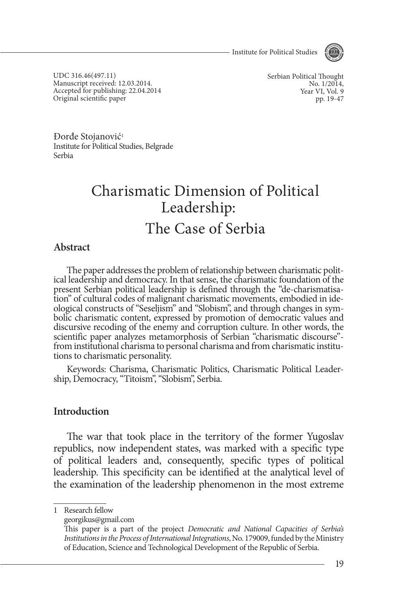- Institute for Political Studies



UDC 316.46(497.11) Manuscript received: 12.03.2014. Accepted for publishing: 22.04.2014 Original scientific paper

Serbian Political Thought No. 1/2014, Year VI, Vol. 9 pp. 19-47

Đorđe Stojanović<sup>1</sup> Institute for Political Studies, Belgrade Serbia

# Charismatic Dimension of Political Leadership: The Case of Serbia

### **Abstract**

The paper addresses the problem of relationship between charismatic political leadership and democracy. In that sense, the charismatic foundation of the present Serbian political leadership is defined through the "de-chari tion" of cultural codes of malignant charismatic movements, embodied in ide-<br>ological constructs of "Seseljism" and "Slobism", and through changes in sym-<br>bolic charismatic content, expressed by promotion of democratic val discursive recoding of the enemy and corruption culture. In other words, the scientific paper analyzes metamorphosis of Serbian "charismatic discourse" from institutional charisma to personal charisma and from charismatic institu- tions to charismatic personality.

Keywords: Charisma, Charismatic Politics, Charismatic Political Leader- ship, Democracy, "Titoism", "Slobism", Serbia.

### **Introduction**

The war that took place in the territory of the former Yugoslav republics, now independent states, was marked with a specific type of political leaders and, consequently, specific types of political leadership. This specificity can be identified at the analytical level of the examination of the leadership phenomenon in the most extreme

<sup>1</sup> Research fellow

georgikus@gmail.com

This paper is a part of the project *Democratic and National Capacities of Serbia's Institutions in the Process of International Integrations*, No. 179009, funded by the Ministry of Education, Science and Technological Development of the Republic of Serbia.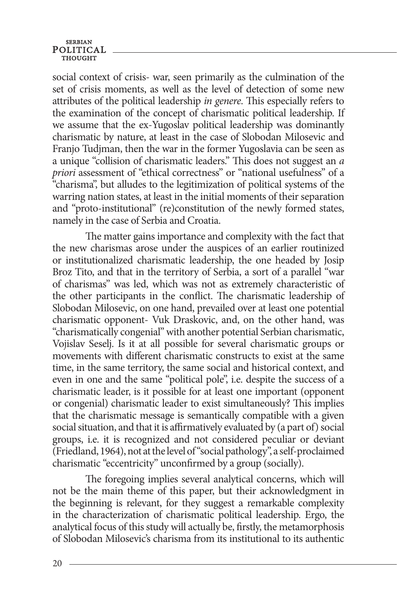social context of crisis- war, seen primarily as the culmination of the set of crisis moments, as well as the level of detection of some new attributes of the political leadership *in genere*. This especially refers to the examination of the concept of charismatic political leadership. If we assume that the ex-Yugoslav political leadership was dominantly charismatic by nature, at least in the case of Slobodan Milosevic and Franjo Tudjman, then the war in the former Yugoslavia can be seen as a unique "collision of charismatic leaders." This does not suggest an *a priori* assessment of "ethical correctness" or "national usefulness" of a "charisma", but alludes to the legitimization of political systems of the warring nation states, at least in the initial moments of their separation and "proto-institutional" (re)constitution of the newly formed states, namely in the case of Serbia and Croatia.

The matter gains importance and complexity with the fact that the new charismas arose under the auspices of an earlier routinized or institutionalized charismatic leadership, the one headed by Josip Broz Tito, and that in the territory of Serbia, a sort of a parallel "war of charismas" was led, which was not as extremely characteristic of the other participants in the conflict. The charismatic leadership of Slobodan Milosevic, on one hand, prevailed over at least one potential charismatic opponent- Vuk Draskovic, and, on the other hand, was "charismatically congenial" with another potential Serbian charismatic, Vojislav Seselj. Is it at all possible for several charismatic groups or movements with different charismatic constructs to exist at the same time, in the same territory, the same social and historical context, and even in one and the same "political pole", i.e. despite the success of a charismatic leader, is it possible for at least one important (opponent or congenial) charismatic leader to exist simultaneously? This implies that the charismatic message is semantically compatible with a given social situation, and that it is affirmatively evaluated by (a part of) social groups, i.e. it is recognized and not considered peculiar or deviant (Friedland, 1964), not at the level of "social pathology", a self-proclaimed charismatic "eccentricity" unconfirmed by a group (socially).

The foregoing implies several analytical concerns, which will not be the main theme of this paper, but their acknowledgment in the beginning is relevant, for they suggest a remarkable complexity in the characterization of charismatic political leadership. Ergo, the analytical focus of this study will actually be, firstly, the metamorphosis of Slobodan Milosevic's charisma from its institutional to its authentic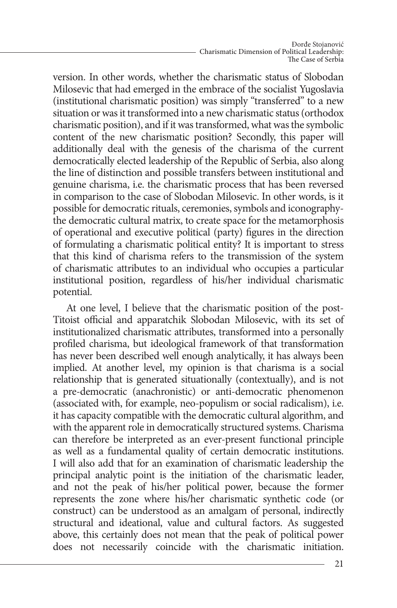version. In other words, whether the charismatic status of Slobodan Milosevic that had emerged in the embrace of the socialist Yugoslavia (institutional charismatic position) was simply "transferred" to a new situation or was it transformed into a new charismatic status (orthodox charismatic position), and if it was transformed, what was the symbolic content of the new charismatic position? Secondly, this paper will additionally deal with the genesis of the charisma of the current democratically elected leadership of the Republic of Serbia, also along the line of distinction and possible transfers between institutional and genuine charisma, i.e. the charismatic process that has been reversed in comparison to the case of Slobodan Milosevic. In other words, is it possible for democratic rituals, ceremonies, symbols and iconographythe democratic cultural matrix, to create space for the metamorphosis of operational and executive political (party) figures in the direction of formulating a charismatic political entity? It is important to stress that this kind of charisma refers to the transmission of the system of charismatic attributes to an individual who occupies a particular institutional position, regardless of his/her individual charismatic potential.

At one level, I believe that the charismatic position of the post-Titoist official and apparatchik Slobodan Milosevic, with its set of institutionalized charismatic attributes, transformed into a personally profiled charisma, but ideological framework of that transformation has never been described well enough analytically, it has always been implied. At another level, my opinion is that charisma is a social relationship that is generated situationally (contextually), and is not a pre-democratic (anachronistic) or anti-democratic phenomenon (associated with, for example, neo-populism or social radicalism), i.e. it has capacity compatible with the democratic cultural algorithm, and with the apparent role in democratically structured systems. Charisma can therefore be interpreted as an ever-present functional principle as well as a fundamental quality of certain democratic institutions. I will also add that for an examination of charismatic leadership the principal analytic point is the initiation of the charismatic leader, and not the peak of his/her political power, because the former represents the zone where his/her charismatic synthetic code (or construct) can be understood as an amalgam of personal, indirectly structural and ideational, value and cultural factors. As suggested above, this certainly does not mean that the peak of political power does not necessarily coincide with the charismatic initiation.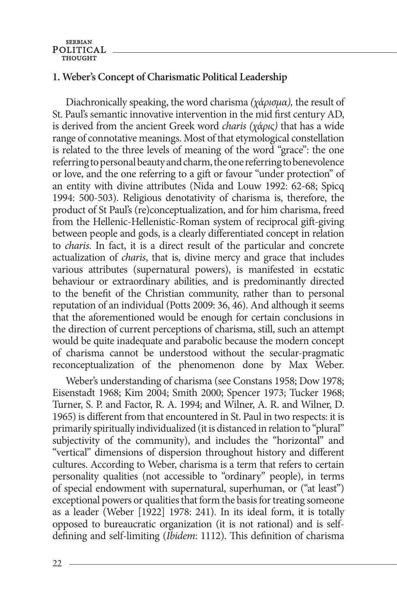# **1. Weber's concept of charismatic political leadership**

Diachronically speaking, the word charisma *(χάρισμα),* the result of St. Paul's semantic innovative intervention in the mid first century AD, is derived from the ancient Greek word *charis (χάρις)* that has a wide range of connotative meanings. Most of that etymological constellation is related to the three levels of meaning of the word "grace": the one referring to personal beauty and charm, the one referring to benevolence or love, and the one referring to a gift or favour "under protection" of an entity with divine attributes (Nida and Louw 1992: 62-68; Spicq 1994: 500-503). Religious denotativity of charisma is, therefore, the product of St Paul's (re)conceptualization, and for him charisma, freed from the Hellenic-Hellenistic-Roman system of reciprocal gift-giving between people and gods, is a clearly differentiated concept in relation to *charis*. In fact, it is a direct result of the particular and concrete actualization of *charis*, that is, divine mercy and grace that includes various attributes (supernatural powers), is manifested in ecstatic behaviour or extraordinary abilities, and is predominantly directed to the benefit of the Christian community, rather than to personal reputation of an individual (Potts 2009: 36, 46). And although it seems that the aforementioned would be enough for certain conclusions in the direction of current perceptions of charisma, still, such an attempt would be quite inadequate and parabolic because the modern concept of charisma cannot be understood without the secular-pragmatic reconceptualization of the phenomenon done by Max Weber.

Weber's understanding of charisma (see Constans 1958; Dow 1978; Eisenstadt 1968; Kim 2004; Smith 2000; Spencer 1973; Tucker 1968; Turner, S. P. and Factor, R. A. 1994; and Wilner, A. R. and Wilner, D. 1965) is different from that encountered in St. Paul in two respects: it is primarily spiritually individualized (it is distanced in relation to "plural" subjectivity of the community), and includes the "horizontal" and "vertical" dimensions of dispersion throughout history and different cultures. According to Weber, charisma is a term that refers to certain personality qualities (not accessible to "ordinary" people), in terms of special endowment with supernatural, superhuman, or ("at least") exceptional powers or qualities that form the basis for treating someone as a leader (Weber [1922] 1978: 241). In its ideal form, it is totally opposed to bureaucratic organization (it is not rational) and is selfdefining and self-limiting (*Ibidem*: 1112). This definition of charisma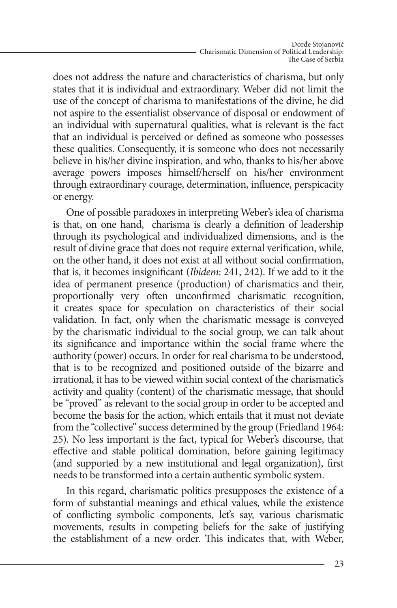does not address the nature and characteristics of charisma, but only states that it is individual and extraordinary. Weber did not limit the use of the concept of charisma to manifestations of the divine, he did not aspire to the essentialist observance of disposal or endowment of an individual with supernatural qualities, what is relevant is the fact that an individual is perceived or defined as someone who possesses these qualities. Consequently, it is someone who does not necessarily believe in his/her divine inspiration, and who, thanks to his/her above average powers imposes himself/herself on his/her environment through extraordinary courage, determination, influence, perspicacity or energy.

One of possible paradoxes in interpreting Weber's idea of charisma is that, on one hand, charisma is clearly a definition of leadership through its psychological and individualized dimensions, and is the result of divine grace that does not require external verification, while, on the other hand, it does not exist at all without social confirmation, that is, it becomes insignificant (*Ibidem*: 241, 242). If we add to it the idea of permanent presence (production) of charismatics and their, proportionally very often unconfirmed charismatic recognition, it creates space for speculation on characteristics of their social validation. In fact, only when the charismatic message is conveyed by the charismatic individual to the social group, we can talk about its significance and importance within the social frame where the authority (power) occurs. In order for real charisma to be understood, that is to be recognized and positioned outside of the bizarre and irrational, it has to be viewed within social context of the charismatic's activity and quality (content) of the charismatic message, that should be "proved" as relevant to the social group in order to be accepted and become the basis for the action, which entails that it must not deviate from the "collective" success determined by the group (Friedland 1964: 25). No less important is the fact, typical for Weber's discourse, that effective and stable political domination, before gaining legitimacy (and supported by a new institutional and legal organization), first needs to be transformed into a certain authentic symbolic system.

In this regard, charismatic politics presupposes the existence of a form of substantial meanings and ethical values, while the existence of conflicting symbolic components, let's say, various charismatic movements, results in competing beliefs for the sake of justifying the establishment of a new order. This indicates that, with Weber,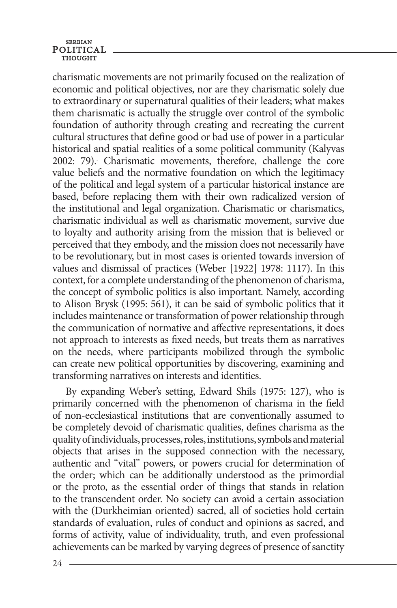charismatic movements are not primarily focused on the realization of economic and political objectives, nor are they charismatic solely due to extraordinary or supernatural qualities of their leaders; what makes them charismatic is actually the struggle over control of the symbolic foundation of authority through creating and recreating the current cultural structures that define good or bad use of power in a particular historical and spatial realities of a some political community (Kalyvas 2002: 79). Charismatic movements, therefore, challenge the core value beliefs and the normative foundation on which the legitimacy of the political and legal system of a particular historical instance are based, before replacing them with their own radicalized version of the institutional and legal organization. Charismatic or charismatics, charismatic individual as well as charismatic movement, survive due to loyalty and authority arising from the mission that is believed or perceived that they embody, and the mission does not necessarily have to be revolutionary, but in most cases is oriented towards inversion of values and dismissal of practices (Weber [1922] 1978: 1117). In this context, for a complete understanding of the phenomenon of charisma, the concept of symbolic politics is also important. Namely, according to Alison Brysk (1995: 561), it can be said of symbolic politics that it includes maintenance or transformation of power relationship through the communication of normative and affective representations, it does not approach to interests as fixed needs, but treats them as narratives on the needs, where participants mobilized through the symbolic can create new political opportunities by discovering, examining and transforming narratives on interests and identities.

By expanding Weber's setting, Edward Shils (1975: 127), who is primarily concerned with the phenomenon of charisma in the field of non-ecclesiastical institutions that are conventionally assumed to be completely devoid of charismatic qualities, defines charisma as the quality of individuals, processes, roles, institutions, symbols and material objects that arises in the supposed connection with the necessary, authentic and "vital" powers, or powers crucial for determination of the order; which can be additionally understood as the primordial or the proto, as the essential order of things that stands in relation to the transcendent order. No society can avoid a certain association with the (Durkheimian oriented) sacred, all of societies hold certain standards of evaluation, rules of conduct and opinions as sacred, and forms of activity, value of individuality, truth, and even professional achievements can be marked by varying degrees of presence of sanctity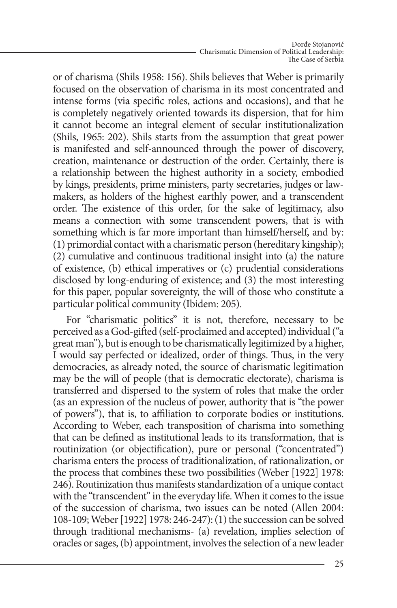or of charisma (Shils 1958: 156). Shils believes that Weber is primarily focused on the observation of charisma in its most concentrated and intense forms (via specific roles, actions and occasions), and that he is completely negatively oriented towards its dispersion, that for him it cannot become an integral element of secular institutionalization (Shils, 1965: 202). Shils starts from the assumption that great power is manifested and self-announced through the power of discovery, creation, maintenance or destruction of the order. Certainly, there is a relationship between the highest authority in a society, embodied by kings, presidents, prime ministers, party secretaries, judges or lawmakers, as holders of the highest earthly power, and a transcendent order. The existence of this order, for the sake of legitimacy, also means a connection with some transcendent powers, that is with something which is far more important than himself/herself, and by: (1) primordial contact with a charismatic person (hereditary kingship); (2) cumulative and continuous traditional insight into (a) the nature of existence, (b) ethical imperatives or (c) prudential considerations disclosed by long-enduring of existence; and (3) the most interesting for this paper, popular sovereignty, the will of those who constitute a particular political community (Ibidem: 205).

For "charismatic politics" it is not, therefore, necessary to be perceived as a God-gifted (self-proclaimed and accepted) individual ("a great man"), but is enough to be charismatically legitimized by a higher, I would say perfected or idealized, order of things. Thus, in the very democracies, as already noted, the source of charismatic legitimation may be the will of people (that is democratic electorate), charisma is transferred and dispersed to the system of roles that make the order (as an expression of the nucleus of power, authority that is "the power of powers"), that is, to affiliation to corporate bodies or institutions. According to Weber, each transposition of charisma into something that can be defined as institutional leads to its transformation, that is routinization (or objectification), pure or personal ("concentrated") charisma enters the process of traditionalization, of rationalization, or the process that combines these two possibilities (Weber [1922] 1978: 246). Routinization thus manifests standardization of a unique contact with the "transcendent" in the everyday life. When it comes to the issue of the succession of charisma, two issues can be noted (Allen 2004: 108-109; Weber [1922] 1978: 246-247): (1) the succession can be solved through traditional mechanisms- (a) revelation, implies selection of oracles or sages, (b) appointment, involves the selection of a new leader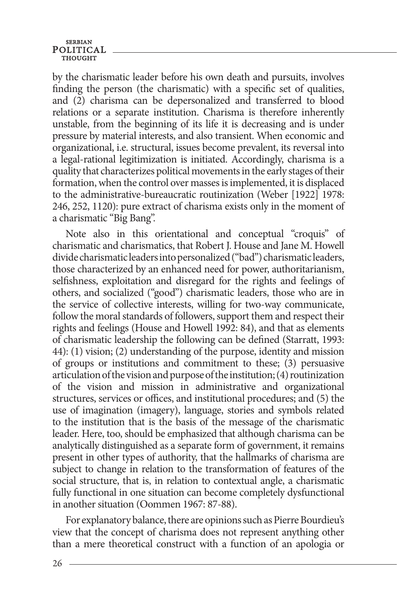# **SERBIAN** POLITICAL

by the charismatic leader before his own death and pursuits, involves finding the person (the charismatic) with a specific set of qualities, and (2) charisma can be depersonalized and transferred to blood relations or a separate institution. Charisma is therefore inherently unstable, from the beginning of its life it is decreasing and is under pressure by material interests, and also transient. When economic and organizational, i.e. structural, issues become prevalent, its reversal into a legal-rational legitimization is initiated. Accordingly, charisma is a quality that characterizes political movements in the early stages of their formation, when the control over masses is implemented, it is displaced to the administrative-bureaucratic routinization (Weber [1922] 1978: 246, 252, 1120): pure extract of charisma exists only in the moment of a charismatic "Big Bang".

Note also in this orientational and conceptual "croquis" of charismatic and charismatics, that Robert J. House and Jane M. Howell divide charismatic leaders into personalized ("bad") charismatic leaders, those characterized by an enhanced need for power, authoritarianism, selfishness, exploitation and disregard for the rights and feelings of others, and socialized ("good") charismatic leaders, those who are in the service of collective interests, willing for two-way communicate, follow the moral standards of followers, support them and respect their rights and feelings (House and Howell 1992: 84), and that as elements of charismatic leadership the following can be defined (Starratt, 1993: 44): (1) vision; (2) understanding of the purpose, identity and mission of groups or institutions and commitment to these; (3) persuasive articulation of the vision and purpose of the institution; (4) routinization of the vision and mission in administrative and organizational structures, services or offices, and institutional procedures; and (5) the use of imagination (imagery), language, stories and symbols related to the institution that is the basis of the message of the charismatic leader. Here, too, should be emphasized that although charisma can be analytically distinguished as a separate form of government, it remains present in other types of authority, that the hallmarks of charisma are subject to change in relation to the transformation of features of the social structure, that is, in relation to contextual angle, a charismatic fully functional in one situation can become completely dysfunctional in another situation (Oommen 1967: 87-88).

For explanatory balance, there are opinions such as Pierre Bourdieu's view that the concept of charisma does not represent anything other than a mere theoretical construct with a function of an apologia or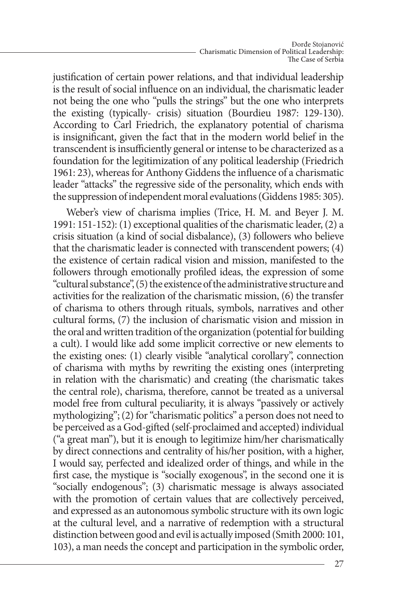justification of certain power relations, and that individual leadership is the result of social influence on an individual, the charismatic leader not being the one who "pulls the strings" but the one who interprets the existing (typically- crisis) situation (Bourdieu 1987: 129-130). According to Carl Friedrich, the explanatory potential of charisma is insignificant, given the fact that in the modern world belief in the transcendent is insufficiently general or intense to be characterized as a foundation for the legitimization of any political leadership (Friedrich 1961: 23), whereas for Anthony Giddens the influence of a charismatic leader "attacks" the regressive side of the personality, which ends with the suppression of independent moral evaluations (Giddens 1985: 305).

Weber's view of charisma implies (Trice, H. M. and Beyer J. M. 1991: 151-152): (1) exceptional qualities of the charismatic leader, (2) a crisis situation (a kind of social disbalance), (3) followers who believe that the charismatic leader is connected with transcendent powers; (4) the existence of certain radical vision and mission, manifested to the followers through emotionally profiled ideas, the expression of some "cultural substance", (5) the existence of the administrative structure and activities for the realization of the charismatic mission, (6) the transfer of charisma to others through rituals, symbols, narratives and other cultural forms, (7) the inclusion of charismatic vision and mission in the oral and written tradition of the organization (potential for building a cult). I would like add some implicit corrective or new elements to the existing ones: (1) clearly visible "analytical corollary", connection of charisma with myths by rewriting the existing ones (interpreting in relation with the charismatic) and creating (the charismatic takes the central role), charisma, therefore, cannot be treated as a universal model free from cultural peculiarity, it is always "passively or actively mythologizing"; (2) for "charismatic politics" a person does not need to be perceived as a God-gifted (self-proclaimed and accepted) individual ("a great man"), but it is enough to legitimize him/her charismatically by direct connections and centrality of his/her position, with a higher, I would say, perfected and idealized order of things, and while in the first case, the mystique is "socially exogenous", in the second one it is "socially endogenous"; (3) charismatic message is always associated with the promotion of certain values that are collectively perceived, and expressed as an autonomous symbolic structure with its own logic at the cultural level, and a narrative of redemption with a structural distinction between good and evil is actually imposed (Smith 2000: 101, 103), a man needs the concept and participation in the symbolic order,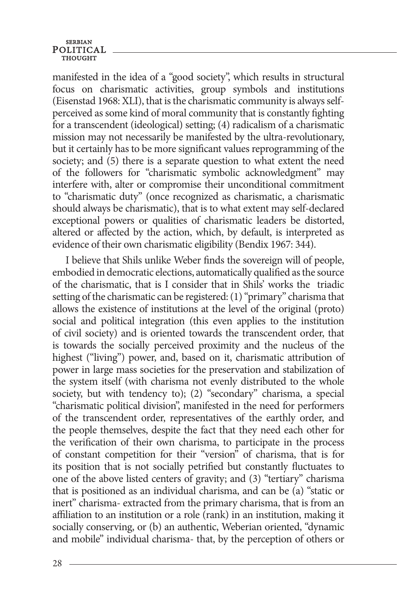# **SERBIAN** POLITICAL

manifested in the idea of a "good society", which results in structural focus on charismatic activities, group symbols and institutions (Eisenstad 1968: XLI), that is the charismatic community is always selfperceived as some kind of moral community that is constantly fighting for a transcendent (ideological) setting; (4) radicalism of a charismatic mission may not necessarily be manifested by the ultra-revolutionary, but it certainly has to be more significant values reprogramming of the society; and (5) there is a separate question to what extent the need of the followers for "charismatic symbolic acknowledgment" may interfere with, alter or compromise their unconditional commitment to "charismatic duty" (once recognized as charismatic, a charismatic should always be charismatic), that is to what extent may self-declared exceptional powers or qualities of charismatic leaders be distorted, altered or affected by the action, which, by default, is interpreted as evidence of their own charismatic eligibility (Bendix 1967: 344).

I believe that Shils unlike Weber finds the sovereign will of people, embodied in democratic elections, automatically qualified as the source of the charismatic, that is I consider that in Shils' works the triadic setting of the charismatic can be registered: (1) "primary" charisma that allows the existence of institutions at the level of the original (proto) social and political integration (this even applies to the institution of civil society) and is oriented towards the transcendent order, that is towards the socially perceived proximity and the nucleus of the highest ("living") power, and, based on it, charismatic attribution of power in large mass societies for the preservation and stabilization of the system itself (with charisma not evenly distributed to the whole society, but with tendency to); (2) "secondary" charisma, a special "charismatic political division", manifested in the need for performers of the transcendent order, representatives of the earthly order, and the people themselves, despite the fact that they need each other for the verification of their own charisma, to participate in the process of constant competition for their "version" of charisma, that is for its position that is not socially petrified but constantly fluctuates to one of the above listed centers of gravity; and (3) "tertiary" charisma that is positioned as an individual charisma, and can be (a) "static or inert" charisma- extracted from the primary charisma, that is from an affiliation to an institution or a role (rank) in an institution, making it socially conserving, or (b) an authentic, Weberian oriented, "dynamic and mobile" individual charisma- that, by the perception of others or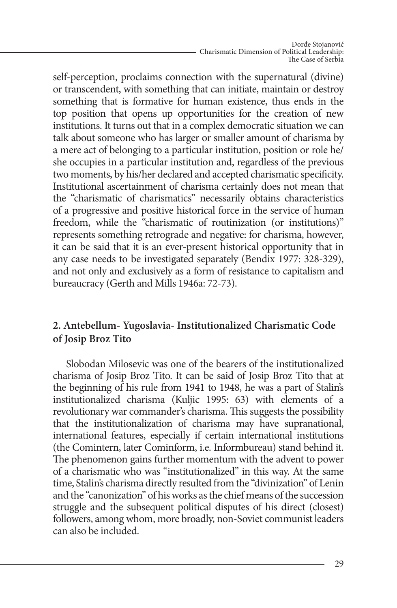self-perception, proclaims connection with the supernatural (divine) or transcendent, with something that can initiate, maintain or destroy something that is formative for human existence, thus ends in the top position that opens up opportunities for the creation of new institutions. It turns out that in a complex democratic situation we can talk about someone who has larger or smaller amount of charisma by a mere act of belonging to a particular institution, position or role he/ she occupies in a particular institution and, regardless of the previous two moments, by his/her declared and accepted charismatic specificity. Institutional ascertainment of charisma certainly does not mean that the "charismatic of charismatics" necessarily obtains characteristics of a progressive and positive historical force in the service of human freedom, while the "charismatic of routinization (or institutions)" represents something retrograde and negative: for charisma, however, it can be said that it is an ever-present historical opportunity that in any case needs to be investigated separately (Bendix 1977: 328-329), and not only and exclusively as a form of resistance to capitalism and bureaucracy (Gerth and Mills 1946a: 72-73).

# **2. Antebellum- Yugoslavia- Institutionalized Charismatic Code of Josip Broz Tito**

Slobodan Milosevic was one of the bearers of the institutionalized charisma of Josip Broz Tito. It can be said of Josip Broz Tito that at the beginning of his rule from 1941 to 1948, he was a part of Stalin's institutionalized charisma (Kuljic 1995: 63) with elements of a revolutionary war commander's charisma. This suggests the possibility that the institutionalization of charisma may have supranational, international features, especially if certain international institutions (the Comintern, later Cominform, i.e. Informbureau) stand behind it. The phenomenon gains further momentum with the advent to power of a charismatic who was "institutionalized" in this way. At the same time, Stalin's charisma directly resulted from the "divinization" of Lenin and the "canonization" of his works as the chief means of the succession struggle and the subsequent political disputes of his direct (closest) followers, among whom, more broadly, non-Soviet communist leaders can also be included.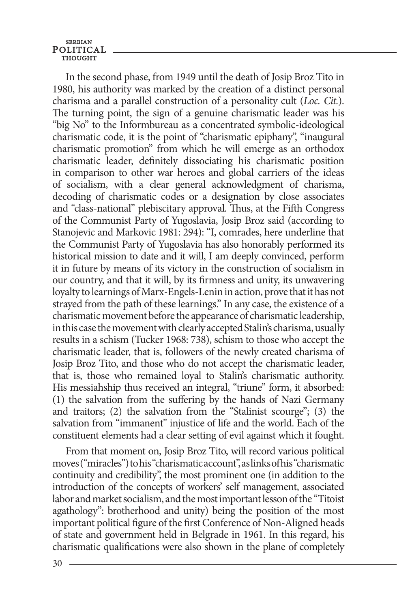In the second phase, from 1949 until the death of Josip Broz Tito in 1980, his authority was marked by the creation of a distinct personal charisma and a parallel construction of a personality cult (*Loc. Cit.*). The turning point, the sign of a genuine charismatic leader was his "big No" to the Informbureau as a concentrated symbolic-ideological charismatic code, it is the point of "charismatic epiphany", "inaugural charismatic promotion" from which he will emerge as an orthodox charismatic leader, definitely dissociating his charismatic position in comparison to other war heroes and global carriers of the ideas of socialism, with a clear general acknowledgment of charisma, decoding of charismatic codes or a designation by close associates and "class-national" plebiscitary approval. Thus, at the Fifth Congress of the Communist Party of Yugoslavia, Josip Broz said (according to Stanojevic and Markovic 1981: 294): "I, comrades, here underline that the Communist Party of Yugoslavia has also honorably performed its historical mission to date and it will, I am deeply convinced, perform it in future by means of its victory in the construction of socialism in our country, and that it will, by its firmness and unity, its unwavering loyalty to learnings of Marx-Engels-Lenin in action, prove that it has not strayed from the path of these learnings." In any case, the existence of a charismatic movement before the appearance of charismatic leadership, in this case the movement with clearly accepted Stalin's charisma, usually results in a schism (Tucker 1968: 738), schism to those who accept the charismatic leader, that is, followers of the newly created charisma of Josip Broz Tito, and those who do not accept the charismatic leader, that is, those who remained loyal to Stalin's charismatic authority. His messiahship thus received an integral, "triune" form, it absorbed: (1) the salvation from the suffering by the hands of Nazi Germany and traitors; (2) the salvation from the "Stalinist scourge"; (3) the salvation from "immanent" injustice of life and the world. Each of the constituent elements had a clear setting of evil against which it fought.

From that moment on, Josip Broz Tito, will record various political moves ("miracles") to his "charismatic account", as links of his "charismatic continuity and credibility", the most prominent one (in addition to the introduction of the concepts of workers' self management, associated labor and market socialism, and the most important lesson of the "Titoist agathology": brotherhood and unity) being the position of the most important political figure of the first Conference of Non-Aligned heads of state and government held in Belgrade in 1961. In this regard, his charismatic qualifications were also shown in the plane of completely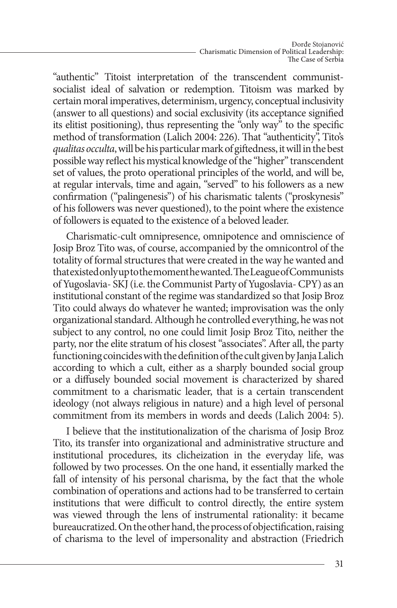"authentic" Titoist interpretation of the transcendent communistsocialist ideal of salvation or redemption. Titoism was marked by certain moral imperatives, determinism, urgency, conceptual inclusivity (answer to all questions) and social exclusivity (its acceptance signified its elitist positioning), thus representing the "only way" to the specific method of transformation (Lalich 2004: 226). That "authenticity", Tito's *qualitas occulta*, will be his particular mark of giftedness, it will in the best possible way reflect his mystical knowledge of the "higher" transcendent set of values, the proto operational principles of the world, and will be, at regular intervals, time and again, "served" to his followers as a new confirmation ("palingenesis") of his charismatic talents ("proskynesis" of his followers was never questioned), to the point where the existence of followers is equated to the existence of a beloved leader.

Charismatic-cult omnipresence, omnipotence and omniscience of Josip Broz Tito was, of course, accompanied by the omnicontrol of the totality of formal structures that were created in the way he wanted and that existed only up to the moment he wanted. The League of Communists of Yugoslavia- SKJ (i.e. the Communist Party of Yugoslavia- CPY) as an institutional constant of the regime was standardized so that Josip Broz Tito could always do whatever he wanted; improvisation was the only organizational standard. Although he controlled everything, he was not subject to any control, no one could limit Josip Broz Tito, neither the party, nor the elite stratum of his closest "associates". After all, the party functioning coincides with the definition of the cult given by Janja Lalich according to which a cult, either as a sharply bounded social group or a diffusely bounded social movement is characterized by shared commitment to a charismatic leader, that is a certain transcendent ideology (not always religious in nature) and a high level of personal commitment from its members in words and deeds (Lalich 2004: 5).

I believe that the institutionalization of the charisma of Josip Broz Tito, its transfer into organizational and administrative structure and institutional procedures, its clicheization in the everyday life, was followed by two processes. On the one hand, it essentially marked the fall of intensity of his personal charisma, by the fact that the whole combination of operations and actions had to be transferred to certain institutions that were difficult to control directly, the entire system was viewed through the lens of instrumental rationality: it became bureaucratized. On the other hand, the process of objectification, raising of charisma to the level of impersonality and abstraction (Friedrich

31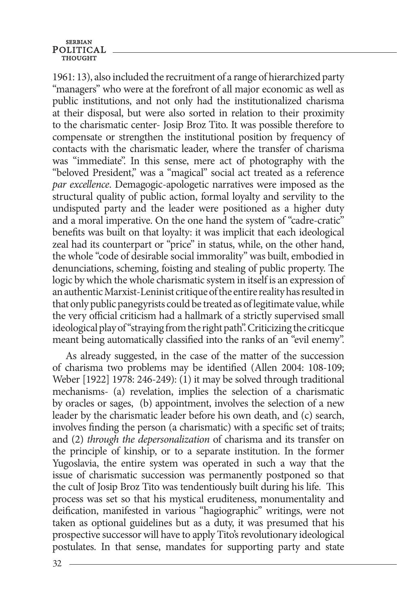1961: 13), also included the recruitment of a range of hierarchized party "managers" who were at the forefront of all major economic as well as public institutions, and not only had the institutionalized charisma at their disposal, but were also sorted in relation to their proximity to the charismatic center- Josip Broz Tito. It was possible therefore to compensate or strengthen the institutional position by frequency of contacts with the charismatic leader, where the transfer of charisma was "immediate". In this sense, mere act of photography with the "beloved President," was a "magical" social act treated as a reference *par excellence*. Demagogic-apologetic narratives were imposed as the structural quality of public action, formal loyalty and servility to the undisputed party and the leader were positioned as a higher duty and a moral imperative. On the one hand the system of "cadre-cratic" benefits was built on that loyalty: it was implicit that each ideological zeal had its counterpart or "price" in status, while, on the other hand, the whole "code of desirable social immorality" was built, embodied in denunciations, scheming, foisting and stealing of public property. The logic by which the whole charismatic system in itself is an expression of an authentic Marxist-Leninist critique of the entire reality has resulted in that only public panegyrists could be treated as of legitimate value, while the very official criticism had a hallmark of a strictly supervised small ideological play of "straying from the right path". Criticizing the criticque meant being automatically classified into the ranks of an "evil enemy".

As already suggested, in the case of the matter of the succession of charisma two problems may be identified (Allen 2004: 108-109; Weber [1922] 1978: 246-249): (1) it may be solved through traditional mechanisms- (a) revelation, implies the selection of a charismatic by oracles or sages, (b) appointment, involves the selection of a new leader by the charismatic leader before his own death, and (c) search, involves finding the person (a charismatic) with a specific set of traits; and (2) *through the depersonalization* of charisma and its transfer on the principle of kinship, or to a separate institution. In the former Yugoslavia, the entire system was operated in such a way that the issue of charismatic succession was permanently postponed so that the cult of Josip Broz Tito was tendentiously built during his life. This process was set so that his mystical eruditeness, monumentality and deification, manifested in various "hagiographic" writings, were not taken as optional guidelines but as a duty, it was presumed that his prospective successor will have to apply Tito's revolutionary ideological postulates. In that sense, mandates for supporting party and state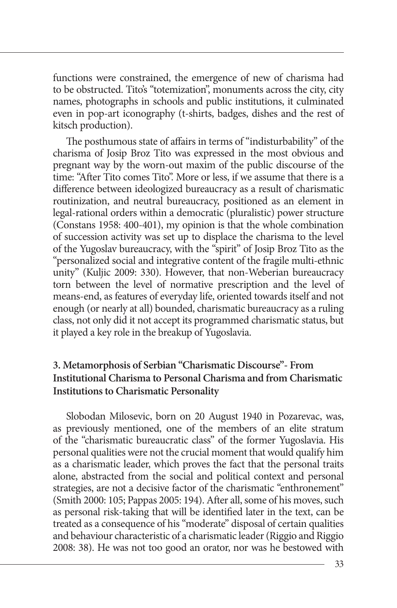functions were constrained, the emergence of new of charisma had to be obstructed. Tito's "totemization", monuments across the city, city names, photographs in schools and public institutions, it culminated even in pop-art iconography (t-shirts, badges, dishes and the rest of kitsch production).

The posthumous state of affairs in terms of "indisturbability" of the charisma of Josip Broz Tito was expressed in the most obvious and pregnant way by the worn-out maxim of the public discourse of the time: "After Tito comes Tito". More or less, if we assume that there is a difference between ideologized bureaucracy as a result of charismatic routinization, and neutral bureaucracy, positioned as an element in legal-rational orders within a democratic (pluralistic) power structure (Constans 1958: 400-401), my opinion is that the whole combination of succession activity was set up to displace the charisma to the level of the Yugoslav bureaucracy, with the "spirit" of Josip Broz Tito as the "personalized social and integrative content of the fragile multi-ethnic unity" (Kuljic 2009: 330). However, that non-Weberian bureaucracy torn between the level of normative prescription and the level of means-end, as features of everyday life, oriented towards itself and not enough (or nearly at all) bounded, charismatic bureaucracy as a ruling class, not only did it not accept its programmed charismatic status, but it played a key role in the breakup of Yugoslavia.

# **3. Metamorphosis of Serbian "Charismatic Discourse"- From Institutional Charisma to personal charisma and from charismatic institutions to charismatic personality**

Slobodan Milosevic, born on 20 August 1940 in Pozarevac, was, as previously mentioned, one of the members of an elite stratum of the "charismatic bureaucratic class" of the former Yugoslavia. His personal qualities were not the crucial moment that would qualify him as a charismatic leader, which proves the fact that the personal traits alone, abstracted from the social and political context and personal strategies, are not a decisive factor of the charismatic "enthronement" (Smith 2000: 105; Pappas 2005: 194). After all, some of his moves, such as personal risk-taking that will be identified later in the text, can be treated as a consequence of his "moderate" disposal of certain qualities and behaviour characteristic of a charismatic leader (Riggio and Riggio 2008: 38). He was not too good an orator, nor was he bestowed with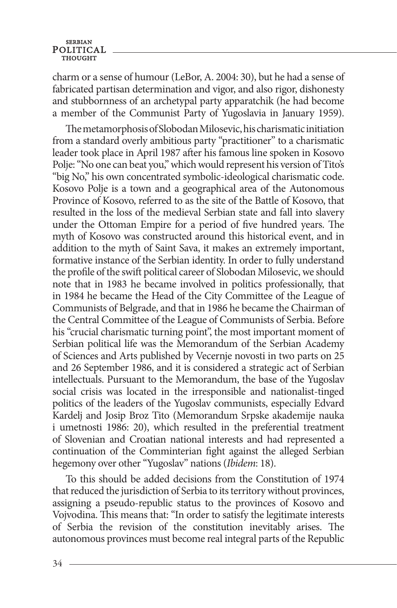charm or a sense of humour (LeBor, A. 2004: 30), but he had a sense of fabricated partisan determination and vigor, and also rigor, dishonesty and stubbornness of an archetypal party apparatchik (he had become a member of the Communist Party of Yugoslavia in January 1959).

The metamorphosis of Slobodan Milosevic, his charismatic initiation from a standard overly ambitious party "practitioner" to a charismatic leader took place in April 1987 after his famous line spoken in Kosovo Polje: "No one can beat you," which would represent his version of Tito's "big No," his own concentrated symbolic-ideological charismatic code. Kosovo Polje is a town and a geographical area of the Autonomous Province of Kosovo, referred to as the site of the Battle of Kosovo, that resulted in the loss of the medieval Serbian state and fall into slavery under the Ottoman Empire for a period of five hundred years. The myth of Kosovo was constructed around this historical event, and in addition to the myth of Saint Sava, it makes an extremely important, formative instance of the Serbian identity. In order to fully understand the profile of the swift political career of Slobodan Milosevic, we should note that in 1983 he became involved in politics professionally, that in 1984 he became the Head of the City Committee of the League of Communists of Belgrade, and that in 1986 he became the Chairman of the Central Committee of the League of Communists of Serbia. Before his "crucial charismatic turning point", the most important moment of Serbian political life was the Memorandum of the Serbian Academy of Sciences and Arts published by Vecernje novosti in two parts on 25 and 26 September 1986, and it is considered a strategic act of Serbian intellectuals. Pursuant to the Memorandum, the base of the Yugoslav social crisis was located in the irresponsible and nationalist-tinged politics of the leaders of the Yugoslav communists, especially Edvard Kardelj and Josip Broz Tito (Memorandum Srpske akademije nauka i umetnosti 1986: 20), which resulted in the preferential treatment of Slovenian and Croatian national interests and had represented a continuation of the Comminterian fight against the alleged Serbian hegemony over other "Yugoslav" nations (*Ibidem*: 18).

To this should be added decisions from the Constitution of 1974 that reduced the jurisdiction of Serbia to its territory without provinces, assigning a pseudo-republic status to the provinces of Kosovo and Vojvodina. This means that: "In order to satisfy the legitimate interests of Serbia the revision of the constitution inevitably arises. The autonomous provinces must become real integral parts of the Republic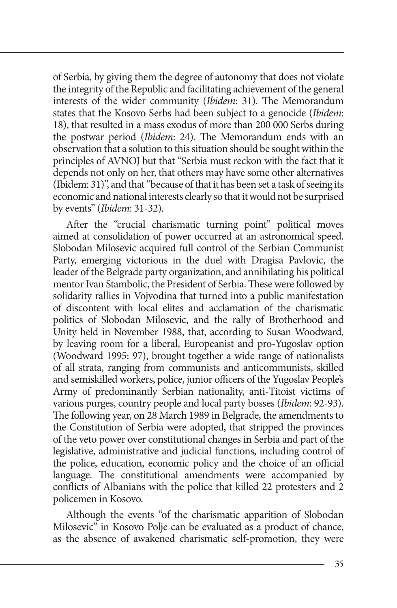of Serbia, by giving them the degree of autonomy that does not violate the integrity of the Republic and facilitating achievement of the general interests of the wider community (*Ibidem*: 31). The Memorandum states that the Kosovo Serbs had been subject to a genocide (*Ibidem*: 18), that resulted in a mass exodus of more than 200 000 Serbs during the postwar period (*Ibidem*: 24). The Memorandum ends with an observation that a solution to this situation should be sought within the principles of AVNOJ but that "Serbia must reckon with the fact that it depends not only on her, that others may have some other alternatives (Ibidem: 31)", and that "because of that it has been set a task of seeing its economic and national interests clearly so that it would not be surprised by events" (*Ibidem*: 31-32).

After the "crucial charismatic turning point" political moves aimed at consolidation of power occurred at an astronomical speed. Slobodan Milosevic acquired full control of the Serbian Communist Party, emerging victorious in the duel with Dragisa Pavlovic, the leader of the Belgrade party organization, and annihilating his political mentor Ivan Stambolic, the President of Serbia. These were followed by solidarity rallies in Vojvodina that turned into a public manifestation of discontent with local elites and acclamation of the charismatic politics of Slobodan Milosevic, and the rally of Brotherhood and Unity held in November 1988, that, according to Susan Woodward, by leaving room for a liberal, Europeanist and pro-Yugoslav option (Woodward 1995: 97), brought together a wide range of nationalists of all strata, ranging from communists and anticommunists, skilled and semiskilled workers, police, junior officers of the Yugoslav People's Army of predominantly Serbian nationality, anti-Titoist victims of various purges, country people and local party bosses (*Ibidem*: 92-93). The following year, on 28 March 1989 in Belgrade, the amendments to the Constitution of Serbia were adopted, that stripped the provinces of the veto power over constitutional changes in Serbia and part of the legislative, administrative and judicial functions, including control of the police, education, economic policy and the choice of an official language. The constitutional amendments were accompanied by conflicts of Albanians with the police that killed 22 protesters and 2 policemen in Kosovo.

Although the events "of the charismatic apparition of Slobodan Milosevic" in Kosovo Polje can be evaluated as a product of chance, as the absence of awakened charismatic self-promotion, they were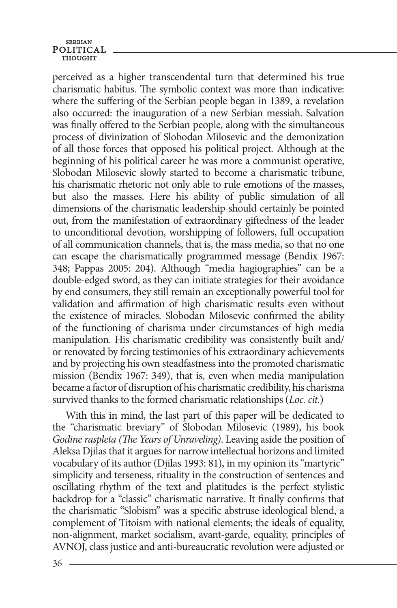perceived as a higher transcendental turn that determined his true charismatic habitus. The symbolic context was more than indicative: where the suffering of the Serbian people began in 1389, a revelation also occurred: the inauguration of a new Serbian messiah. Salvation was finally offered to the Serbian people, along with the simultaneous process of divinization of Slobodan Milosevic and the demonization of all those forces that opposed his political project. Although at the beginning of his political career he was more a communist operative, Slobodan Milosevic slowly started to become a charismatic tribune, his charismatic rhetoric not only able to rule emotions of the masses, but also the masses. Here his ability of public simulation of all dimensions of the charismatic leadership should certainly be pointed out, from the manifestation of extraordinary giftedness of the leader to unconditional devotion, worshipping of followers, full occupation of all communication channels, that is, the mass media, so that no one can escape the charismatically programmed message (Bendix 1967: 348; Pappas 2005: 204). Although "media hagiographies" can be a double-edged sword, as they can initiate strategies for their avoidance by end consumers, they still remain an exceptionally powerful tool for validation and affirmation of high charismatic results even without the existence of miracles. Slobodan Milosevic confirmed the ability of the functioning of charisma under circumstances of high media manipulation. His charismatic credibility was consistently built and/ or renovated by forcing testimonies of his extraordinary achievements and by projecting his own steadfastness into the promoted charismatic mission (Bendix 1967: 349), that is, even when media manipulation became a factor of disruption of his charismatic credibility, his charisma survived thanks to the formed charismatic relationships (*Loc. cit.*)

With this in mind, the last part of this paper will be dedicated to the "charismatic breviary" of Slobodan Milosevic (1989), his book *Godine raspleta (The Years of Unraveling)*. Leaving aside the position of Aleksa Djilas that it argues for narrow intellectual horizons and limited vocabulary of its author (Djilas 1993: 81), in my opinion its "martyric" simplicity and terseness, rituality in the construction of sentences and oscillating rhythm of the text and platitudes is the perfect stylistic backdrop for a "classic" charismatic narrative. It finally confirms that the charismatic "Slobism" was a specific abstruse ideological blend, a complement of Titoism with national elements; the ideals of equality, non-alignment, market socialism, avant-garde, equality, principles of AVNOJ, class justice and anti-bureaucratic revolution were adjusted or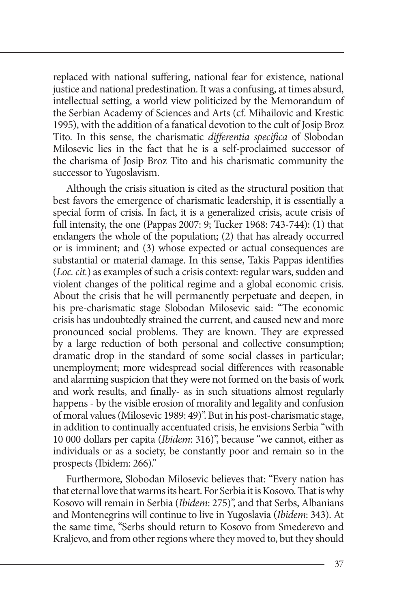replaced with national suffering, national fear for existence, national justice and national predestination. It was a confusing, at times absurd, intellectual setting, a world view politicized by the Memorandum of the Serbian Academy of Sciences and Arts (cf. Mihailovic and Krestic 1995), with the addition of a fanatical devotion to the cult of Josip Broz Tito. In this sense, the charismatic *differentia specifica* of Slobodan Milosevic lies in the fact that he is a self-proclaimed successor of the charisma of Josip Broz Tito and his charismatic community the successor to Yugoslavism.

Although the crisis situation is cited as the structural position that best favors the emergence of charismatic leadership, it is essentially a special form of crisis. In fact, it is a generalized crisis, acute crisis of full intensity, the one (Pappas 2007: 9; Tucker 1968: 743-744): (1) that endangers the whole of the population; (2) that has already occurred or is imminent; and (3) whose expected or actual consequences are substantial or material damage. In this sense, Takis Pappas identifies (*Loc. cit.*) as examples of such a crisis context: regular wars, sudden and violent changes of the political regime and a global economic crisis. About the crisis that he will permanently perpetuate and deepen, in his pre-charismatic stage Slobodan Milosevic said: "The economic crisis has undoubtedly strained the current, and caused new and more pronounced social problems. They are known. They are expressed by a large reduction of both personal and collective consumption; dramatic drop in the standard of some social classes in particular; unemployment; more widespread social differences with reasonable and alarming suspicion that they were not formed on the basis of work and work results, and finally- as in such situations almost regularly happens - by the visible erosion of morality and legality and confusion of moral values (Milosevic 1989: 49)". But in his post-charismatic stage, in addition to continually accentuated crisis, he envisions Serbia "with 10 000 dollars per capita (*Ibidem*: 316)", because "we cannot, either as individuals or as a society, be constantly poor and remain so in the prospects (Ibidem: 266)."

Furthermore, Slobodan Milosevic believes that: "Every nation has that eternal love that warms its heart. For Serbia it is Kosovo. That is why Kosovo will remain in Serbia (*Ibidem*: 275)", and that Serbs, Albanians and Montenegrins will continue to live in Yugoslavia (*Ibidem*: 343). At the same time, "Serbs should return to Kosovo from Smederevo and Kraljevo, and from other regions where they moved to, but they should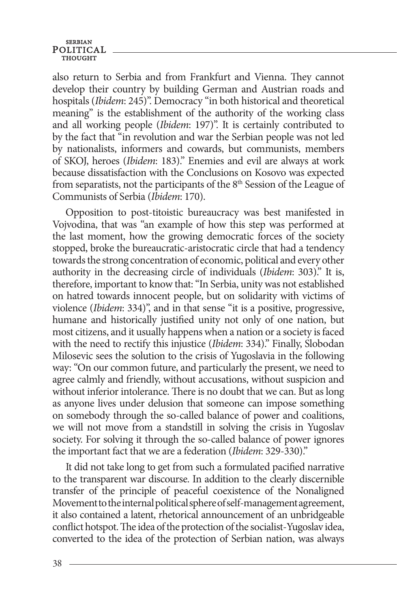# **SERBIAN** POLITICAL

also return to Serbia and from Frankfurt and Vienna. They cannot develop their country by building German and Austrian roads and hospitals (*Ibidem*: 245)". Democracy "in both historical and theoretical meaning" is the establishment of the authority of the working class and all working people (*Ibidem*: 197)". It is certainly contributed to by the fact that "in revolution and war the Serbian people was not led by nationalists, informers and cowards, but communists, members of SKOJ, heroes (*Ibidem*: 183)." Enemies and evil are always at work because dissatisfaction with the Conclusions on Kosovo was expected from separatists, not the participants of the  $8<sup>th</sup>$  Session of the League of Communists of Serbia (*Ibidem*: 170).

Opposition to post-titoistic bureaucracy was best manifested in Vojvodina, that was "an example of how this step was performed at the last moment, how the growing democratic forces of the society stopped, broke the bureaucratic-aristocratic circle that had a tendency towards the strong concentration of economic, political and every other authority in the decreasing circle of individuals (*Ibidem*: 303)." It is, therefore, important to know that: "In Serbia, unity was not established on hatred towards innocent people, but on solidarity with victims of violence (*Ibidem*: 334)", and in that sense "it is a positive, progressive, humane and historically justified unity not only of one nation, but most citizens, and it usually happens when a nation or a society is faced with the need to rectify this injustice (*Ibidem*: 334)." Finally, Slobodan Milosevic sees the solution to the crisis of Yugoslavia in the following way: "On our common future, and particularly the present, we need to agree calmly and friendly, without accusations, without suspicion and without inferior intolerance. There is no doubt that we can. But as long as anyone lives under delusion that someone can impose something on somebody through the so-called balance of power and coalitions, we will not move from a standstill in solving the crisis in Yugoslav society. For solving it through the so-called balance of power ignores the important fact that we are a federation (*Ibidem*: 329-330)."

It did not take long to get from such a formulated pacified narrative to the transparent war discourse. In addition to the clearly discernible transfer of the principle of peaceful coexistence of the Nonaligned Movement to the internal political sphere of self-management agreement, it also contained a latent, rhetorical announcement of an unbridgeable conflict hotspot. The idea of the protection of the socialist-Yugoslav idea, converted to the idea of the protection of Serbian nation, was always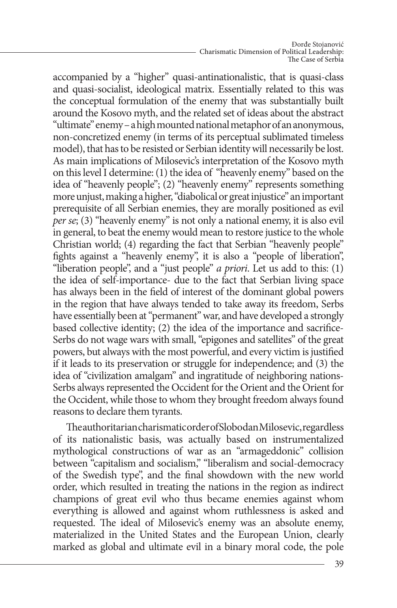accompanied by a "higher" quasi-antinationalistic, that is quasi-class and quasi-socialist, ideological matrix. Essentially related to this was the conceptual formulation of the enemy that was substantially built around the Kosovo myth, and the related set of ideas about the abstract "ultimate" enemy – a high mounted national metaphor of an anonymous, non-concretized enemy (in terms of its perceptual sublimated timeless model), that has to be resisted or Serbian identity will necessarily be lost. As main implications of Milosevic's interpretation of the Kosovo myth on this level I determine: (1) the idea of "heavenly enemy" based on the idea of "heavenly people"; (2) "heavenly enemy" represents something more unjust, making a higher, "diabolical or great injustice" an important prerequisite of all Serbian enemies, they are morally positioned as evil *per se*; (3) "heavenly enemy" is not only a national enemy, it is also evil in general, to beat the enemy would mean to restore justice to the whole Christian world; (4) regarding the fact that Serbian "heavenly people" fights against a "heavenly enemy", it is also a "people of liberation", "liberation people", and a "just people" *a priori*. Let us add to this: (1) the idea of self-importance- due to the fact that Serbian living space has always been in the field of interest of the dominant global powers in the region that have always tended to take away its freedom, Serbs have essentially been at "permanent" war, and have developed a strongly based collective identity; (2) the idea of the importance and sacrifice-Serbs do not wage wars with small, "epigones and satellites" of the great powers, but always with the most powerful, and every victim is justified if it leads to its preservation or struggle for independence; and (3) the idea of "civilization amalgam" and ingratitude of neighboring nations-Serbs always represented the Occident for the Orient and the Orient for the Occident, while those to whom they brought freedom always found reasons to declare them tyrants.

The authoritarian charismatic order of Slobodan Milosevic, regardless of its nationalistic basis, was actually based on instrumentalized mythological constructions of war as an "armageddonic" collision between "capitalism and socialism," "liberalism and social-democracy of the Swedish type", and the final showdown with the new world order, which resulted in treating the nations in the region as indirect champions of great evil who thus became enemies against whom everything is allowed and against whom ruthlessness is asked and requested. The ideal of Milosevic's enemy was an absolute enemy, materialized in the United States and the European Union, clearly marked as global and ultimate evil in a binary moral code, the pole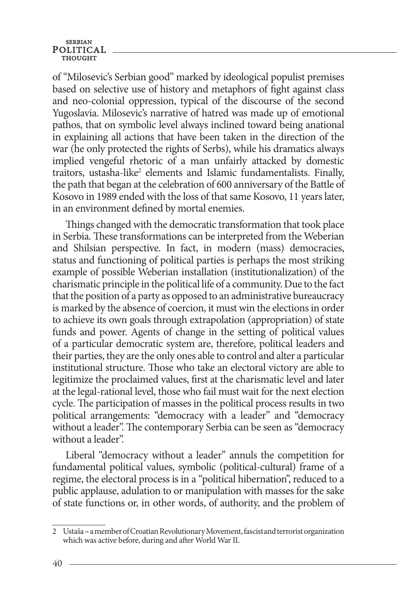of "Milosevic's Serbian good" marked by ideological populist premises based on selective use of history and metaphors of fight against class and neo-colonial oppression, typical of the discourse of the second Yugoslavia. Milosevic's narrative of hatred was made up of emotional pathos, that on symbolic level always inclined toward being anational in explaining all actions that have been taken in the direction of the war (he only protected the rights of Serbs), while his dramatics always implied vengeful rhetoric of a man unfairly attacked by domestic traitors, ustasha-like<sup>2</sup> elements and Islamic fundamentalists. Finally, the path that began at the celebration of 600 anniversary of the Battle of Kosovo in 1989 ended with the loss of that same Kosovo, 11 years later, in an environment defined by mortal enemies.

Things changed with the democratic transformation that took place in Serbia. These transformations can be interpreted from the Weberian and Shilsian perspective. In fact, in modern (mass) democracies, status and functioning of political parties is perhaps the most striking example of possible Weberian installation (institutionalization) of the charismatic principle in the political life of a community. Due to the fact that the position of a party as opposed to an administrative bureaucracy is marked by the absence of coercion, it must win the elections in order to achieve its own goals through extrapolation (appropriation) of state funds and power. Agents of change in the setting of political values of a particular democratic system are, therefore, political leaders and their parties, they are the only ones able to control and alter a particular institutional structure. Those who take an electoral victory are able to legitimize the proclaimed values, first at the charismatic level and later at the legal-rational level, those who fail must wait for the next election cycle. The participation of masses in the political process results in two political arrangements: "democracy with a leader" and "democracy without a leader". The contemporary Serbia can be seen as "democracy" without a leader".

Liberal "democracy without a leader" annuls the competition for fundamental political values, symbolic (political-cultural) frame of a regime, the electoral process is in a "political hibernation", reduced to a public applause, adulation to or manipulation with masses for the sake of state functions or, in other words, of authority, and the problem of

<sup>2</sup> Ustaša **–** a member ofCroatian Revolutionary Movement, fascistand terrorist organization which was active before, during and after World War II.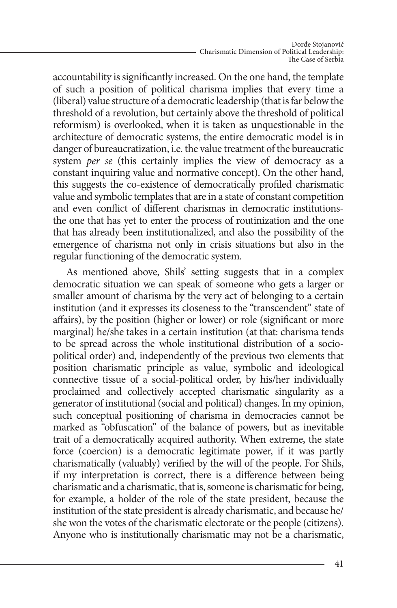accountability is significantly increased. On the one hand, the template of such a position of political charisma implies that every time a (liberal) value structure of a democratic leadership (that is far below the threshold of a revolution, but certainly above the threshold of political reformism) is overlooked, when it is taken as unquestionable in the architecture of democratic systems, the entire democratic model is in danger of bureaucratization, i.e. the value treatment of the bureaucratic system *per se* (this certainly implies the view of democracy as a constant inquiring value and normative concept). On the other hand, this suggests the co-existence of democratically profiled charismatic value and symbolic templates that are in a state of constant competition and even conflict of different charismas in democratic institutionsthe one that has yet to enter the process of routinization and the one that has already been institutionalized, and also the possibility of the emergence of charisma not only in crisis situations but also in the regular functioning of the democratic system.

As mentioned above, Shils' setting suggests that in a complex democratic situation we can speak of someone who gets a larger or smaller amount of charisma by the very act of belonging to a certain institution (and it expresses its closeness to the "transcendent" state of affairs), by the position (higher or lower) or role (significant or more marginal) he/she takes in a certain institution (at that: charisma tends to be spread across the whole institutional distribution of a sociopolitical order) and, independently of the previous two elements that position charismatic principle as value, symbolic and ideological connective tissue of a social-political order, by his/her individually proclaimed and collectively accepted charismatic singularity as a generator of institutional (social and political) changes. In my opinion, such conceptual positioning of charisma in democracies cannot be marked as "obfuscation" of the balance of powers, but as inevitable trait of a democratically acquired authority. When extreme, the state force (coercion) is a democratic legitimate power, if it was partly charismatically (valuably) verified by the will of the people. For Shils, if my interpretation is correct, there is a difference between being charismatic and a charismatic, that is, someone is charismatic for being, for example, a holder of the role of the state president, because the institution of the state president is already charismatic, and because he/ she won the votes of the charismatic electorate or the people (citizens). Anyone who is institutionally charismatic may not be a charismatic,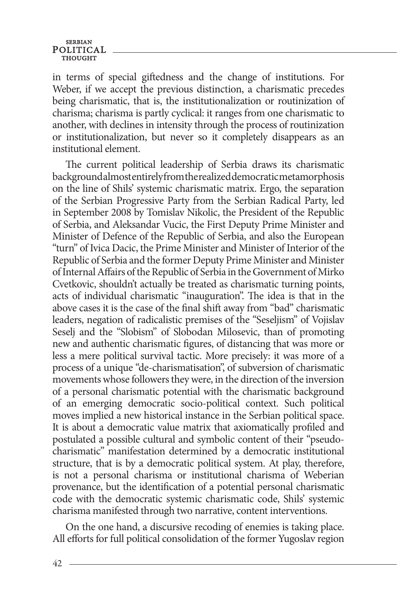## **SERBIAN** POLITICAL

in terms of special giftedness and the change of institutions. For Weber, if we accept the previous distinction, a charismatic precedes being charismatic, that is, the institutionalization or routinization of charisma; charisma is partly cyclical: it ranges from one charismatic to another, with declines in intensity through the process of routinization or institutionalization, but never so it completely disappears as an institutional element.

The current political leadership of Serbia draws its charismatic background almost entirely from the realized democratic metamorphosis on the line of Shils' systemic charismatic matrix. Ergo, the separation of the Serbian Progressive Party from the Serbian Radical Party, led in September 2008 by Tomislav Nikolic, the President of the Republic of Serbia, and Aleksandar Vucic, the First Deputy Prime Minister and Minister of Defence of the Republic of Serbia, and also the European "turn" of Ivica Dacic, the Prime Minister and Minister of Interior of the Republic of Serbia and the former Deputy Prime Minister and Minister of Internal Affairs of the Republic of Serbia in the Government of Mirko Cvetkovic, shouldn't actually be treated as charismatic turning points, acts of individual charismatic "inauguration". The idea is that in the above cases it is the case of the final shift away from "bad" charismatic leaders, negation of radicalistic premises of the "Seseljism" of Vojislav Seselj and the "Slobism" of Slobodan Milosevic, than of promoting new and authentic charismatic figures, of distancing that was more or less a mere political survival tactic. More precisely: it was more of a process of a unique "de-charismatisation", of subversion of charismatic movements whose followers they were, in the direction of the inversion of a personal charismatic potential with the charismatic background of an emerging democratic socio-political context. Such political moves implied a new historical instance in the Serbian political space. It is about a democratic value matrix that axiomatically profiled and postulated a possible cultural and symbolic content of their "pseudocharismatic" manifestation determined by a democratic institutional structure, that is by a democratic political system. At play, therefore, is not a personal charisma or institutional charisma of Weberian provenance, but the identification of a potential personal charismatic code with the democratic systemic charismatic code, Shils' systemic charisma manifested through two narrative, content interventions.

On the one hand, a discursive recoding of enemies is taking place. All efforts for full political consolidation of the former Yugoslav region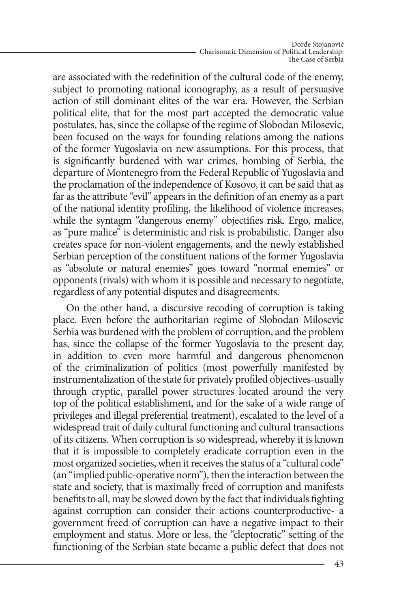are associated with the redefinition of the cultural code of the enemy, subject to promoting national iconography, as a result of persuasive action of still dominant elites of the war era. However, the Serbian political elite, that for the most part accepted the democratic value postulates, has, since the collapse of the regime of Slobodan Milosevic, been focused on the ways for founding relations among the nations of the former Yugoslavia on new assumptions. For this process, that is significantly burdened with war crimes, bombing of Serbia, the departure of Montenegro from the Federal Republic of Yugoslavia and the proclamation of the independence of Kosovo, it can be said that as far as the attribute "evil" appears in the definition of an enemy as a part of the national identity profiling, the likelihood of violence increases, while the syntagm "dangerous enemy" objectifies risk. Ergo, malice, as "pure malice" is deterministic and risk is probabilistic. Danger also creates space for non-violent engagements, and the newly established Serbian perception of the constituent nations of the former Yugoslavia as "absolute or natural enemies" goes toward "normal enemies" or opponents (rivals) with whom it is possible and necessary to negotiate, regardless of any potential disputes and disagreements.

On the other hand, a discursive recoding of corruption is taking place. Even before the authoritarian regime of Slobodan Milosevic Serbia was burdened with the problem of corruption, and the problem has, since the collapse of the former Yugoslavia to the present day, in addition to even more harmful and dangerous phenomenon of the criminalization of politics (most powerfully manifested by instrumentalization of the state for privately profiled objectives-usually through cryptic, parallel power structures located around the very top of the political establishment, and for the sake of a wide range of privileges and illegal preferential treatment), escalated to the level of a widespread trait of daily cultural functioning and cultural transactions of its citizens. When corruption is so widespread, whereby it is known that it is impossible to completely eradicate corruption even in the most organized societies, when it receives the status of a "cultural code" (an "implied public-operative norm"), then the interaction between the state and society, that is maximally freed of corruption and manifests benefits to all, may be slowed down by the fact that individuals fighting against corruption can consider their actions counterproductive- a government freed of corruption can have a negative impact to their employment and status. More or less, the "cleptocratic" setting of the functioning of the Serbian state became a public defect that does not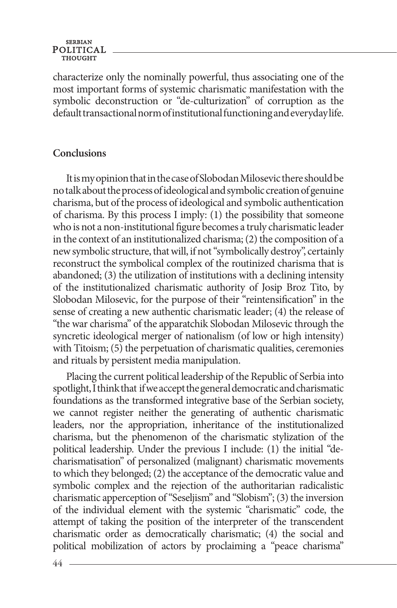# **SERBIAN** POLITICAL

characterize only the nominally powerful, thus associating one of the most important forms of systemic charismatic manifestation with the symbolic deconstruction or "de-culturization" of corruption as the default transactional norm of institutional functioning and everyday life.

# **Conclusions**

It is my opinion that in the case of Slobodan Milosevic there should be no talk about the process of ideological and symbolic creation of genuine charisma, but of the process of ideological and symbolic authentication of charisma. By this process I imply: (1) the possibility that someone who is not a non-institutional figure becomes a truly charismatic leader in the context of an institutionalized charisma; (2) the composition of a new symbolic structure, that will, if not "symbolically destroy", certainly reconstruct the symbolical complex of the routinized charisma that is abandoned; (3) the utilization of institutions with a declining intensity of the institutionalized charismatic authority of Josip Broz Tito, by Slobodan Milosevic, for the purpose of their "reintensification" in the sense of creating a new authentic charismatic leader; (4) the release of "the war charisma" of the apparatchik Slobodan Milosevic through the syncretic ideological merger of nationalism (of low or high intensity) with Titoism; (5) the perpetuation of charismatic qualities, ceremonies and rituals by persistent media manipulation.

Placing the current political leadership of the Republic of Serbia into spotlight, I think that if we accept the general democratic and charismatic foundations as the transformed integrative base of the Serbian society, we cannot register neither the generating of authentic charismatic leaders, nor the appropriation, inheritance of the institutionalized charisma, but the phenomenon of the charismatic stylization of the political leadership. Under the previous I include: (1) the initial "decharismatisation" of personalized (malignant) charismatic movements to which they belonged; (2) the acceptance of the democratic value and symbolic complex and the rejection of the authoritarian radicalistic charismatic apperception of "Seseljism" and "Slobism"; (3) the inversion of the individual element with the systemic "charismatic" code, the attempt of taking the position of the interpreter of the transcendent charismatic order as democratically charismatic; (4) the social and political mobilization of actors by proclaiming a "peace charisma"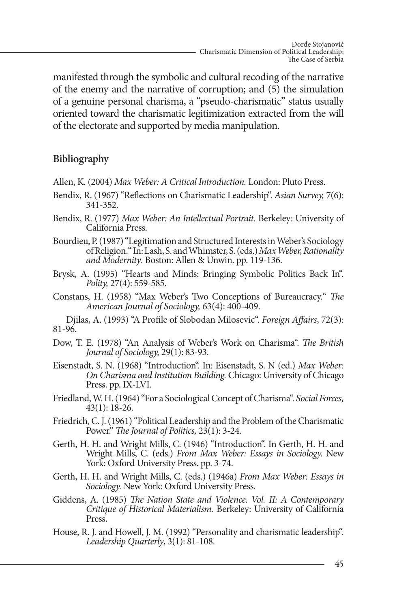manifested through the symbolic and cultural recoding of the narrative of the enemy and the narrative of corruption; and (5) the simulation of a genuine personal charisma, a "pseudo-charismatic" status usually oriented toward the charismatic legitimization extracted from the will of the electorate and supported by media manipulation.

# **Bibliography**

- Allen, K. (2004) *Max Weber: A Critical Introduction.* London: Pluto Press.
- Bendix, R. (1967) "Reflections on Charismatic Leadership". *Asian Survey,* 7(6): 341-352.
- Bendix, R. (1977) *Max Weber: An Intellectual Portrait.* Berkeley: University of California Press.
- Bourdieu, P. (1987) "Legitimation and Structured Interests in Weber's Sociology of Religion." In: Lash, S. and Whimster, S. (eds.) *Max Weber, Rationality and Modernity*. Boston: Allen & Unwin. pp. 119-136.
- Brysk, A. (1995) "Hearts and Minds: Bringing Symbolic Politics Back In". *Polity,* 27(4): 559-585.
- Constans, H. (1958) "Max Weber's Two Conceptions of Bureaucracy." *The American Journal of Sociology,* 63(4): 400-409.

Djilas, A. (1993) "A Profile of Slobodan Milosevic". *Foreign Affairs*, 72(3): 81-96.

- Dow, T. E. (1978) "An Analysis of Weber's Work on Charisma". *The British Journal of Sociology,* 29(1): 83-93.
- Eisenstadt, S. N. (1968) "Introduction". In: Eisenstadt, S. N (ed.) *Max Weber: On Charisma and Institution Building.* Chicago: University of Chicago Press. pp. IX-LVI.
- Friedland, W. H. (1964) "For a Sociological Concept of Charisma". *Social Forces,*  43(1): 18-26.
- Friedrich, C. J. (1961) "Political Leadership and the Problem of the Charismatic Power." *The Journal of Politics,* 23(1): 3-24.
- Gerth, H. H. and Wright Mills, C. (1946) "Introduction". In Gerth, H. H. and Wright Mills, C. (eds.) *From Max Weber: Essays in Sociology.* New York: Oxford University Press. pp. 3-74.
- Gerth, H. H. and Wright Mills, C. (eds.) (1946a) *From Max Weber: Essays in Sociology.* New York: Oxford University Press.
- Giddens, A. (1985) *The Nation State and Violence. Vol. II: A Contemporary Critique of Historical Materialism.* Berkeley: University of California Press.
- House, R. J. and Howell, J. M. (1992) "Personality and charismatic leadership". *Leadership Quarterly*, 3(1): 81-108.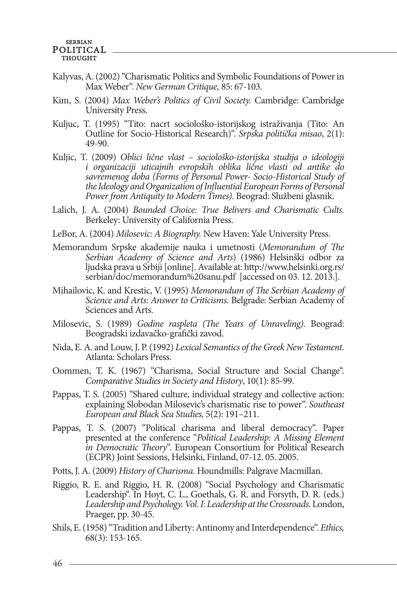- Kalyvas, A. (2002) "Charismatic Politics and Symbolic Foundations of Power in Max Weber". *New German Critique,* 85: 67-103.
- Kim, S. (2004) *Max Weber's Politics of Civil Society.* Cambridge: Cambridge University Press.
- Kuljuc, T. (1995) "Tito: nacrt sociološko-istorijskog istraživanja (Tito: An Outline for Socio-Historical Research)". *Srpska politička misao*, 2(1): 49-90.
- Kuljic, T. (2009) *Oblici lične vlast sociološko-istorijska studija o ideologiji i organizaciji uticajnih evropskih oblika lične vlasti od antike do savremenog doba (Forms of Personal Power- Socio-Historical Study of the Ideology and Organization of Influential European Forms of Personal Power from Antiquity to Modern Times)*. Beograd: Službeni glasnik.
- Lalich, J. A. (2004) *Bounded Choice: True Belivers and Charismatic Cults.*  Berkeley: University of California Press.
- LeBor, A. (2004) *Milosevic: A Biography.* New Haven: Yale University Press.
- Memorandum Srpske akademije nauka i umetnosti (*Memorandum of The Serbian Academy of Science and Arts*) (1986) Helsinški odbor za ljudska prava u Srbiji [online]. Available at: http://www.helsinki.org.rs/ serbian/doc/memorandum%20sanu.pdf [accessed on 03. 12. 2013.].
- Mihailovic, K. and Krestic, V. (1995) *Memorandum of The Serbian Academy of Science and Arts: Answer to Criticisms.* Belgrade: Serbian Academy of Sciences and Arts.
- Milosevic, S. (1989) *Godine raspleta (The Years of Unraveling)*. Beograd: Beogradski izdavačko-grafički zavod.
- Nida, E. A. and Louw, J. P. (1992) *Lexical Semantics of the Greek New Testament.* Atlanta: Scholars Press.
- Oommen, T. K. (1967) "Charisma, Social Structure and Social Change". *Comparative Studies in Society and History*, 10(1): 85-99.
- Pappas, T. S. (2005) "Shared culture, individual strategy and collective action: explaining Slobodan Milosevic's charismatic rise to power". *Southeast European and Black Sea Studies,* 5(2): 191–211.
- Pappas, T. S. (2007) "Political charisma and liberal democracy". Paper presented at the conference "*Political Leadership: A Missing Element in Democratic Theory*". European Consortium for Political Research (ECPR) Joint Sessions, Helsinki, Finland, 07-12. 05. 2005.
- Potts, J. A. (2009) *History of Charisma.* Houndmills: Palgrave Macmillan.
- Riggio, R. E. and Riggio, H. R. (2008) "Social Psychology and Charismatic Leadership". In Hoyt, C. L., Goethals, G. R. and Forsyth, D. R. (eds.) *Leadership and Psychology. Vol. I: Leadership at the Crossroads.* London, Praeger, pp. 30-45.
- Shils, E. (1958) "Tradition and Liberty: Antinomy and Interdependence". *Ethics,*  68(3): 153-165.